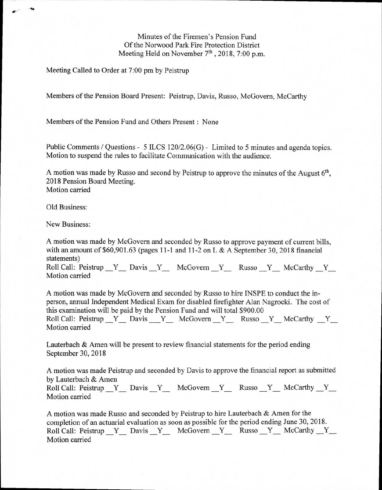Minutes of the Firemen's Pension Fund Of the Norwood Park Fire Protection District Meeting Held on November 7<sup>th</sup>, 2018, 7:00 p.m.

Meeting Called to Order at 7:00 pm by Peistrup

Members of the Pension Board Present: Peistrup, Davis, Russo, McGovern, McCarthy

Members of the Pension Fund and Others Present : None

Public Comments / Questions - 5 ILCS 120/2.06(G) - Limited to 5 minutes and agenda topics. Motion to suspend the rules to facilitate Communication with the audience.

A motion was made by Russo and second by Peistrup to approve the minutes of the August 6<sup>th</sup>, 2018 Pension Board Meeting. Motion carried

Old Business:

•

New Business:

A motion was made by McGovern and seconded by Russo to approve payment of current bills, with an amount of \$60,901.63 (pages 11-1 and 11-2 on L & A September 30, 2018 financial statements)

Roll Call: Peistrup \_Y\_\_ Davis \_Y\_\_ McGovern \_Y\_\_ Russo \_Y\_ McCarthy \_Y\_ Motion carried

A motion was made by McGovern and seconded by Russo to hire INSPE to conduct the inperson, annual Independent Medical Exam for disabled firefighter Alan Nagrocki. The cost of this examination will be paid by the Pension Fund and will total \$900.00 Roll Call: Peistrup \_\_ Y \_\_\_ Davis \_\_ Y \_\_\_ McGovern \_\_ Y \_\_\_\_ Russo \_\_ Y \_\_ McCarthy \_\_ Y \_\_\_ Motion carried

Lauterbach & Amen will be present to review financial statements for the period ending September 30, 2018

A motion was made Peistrup and seconded by Davis to approve the financial report as submitted by Lauterbach & Amen

Roll Call: Peistrup Y Davis Y McGovern Y Russo Y McCarthy Y Motion carried

A motion was made Russo and seconded by Peistrup to hire Lauterbach & Amen for the completion of an actuarial evaluation as soon as possible for the period ending June 30, 2018. Roll Call: Peistrup Y Davis Y McGovern Y Russo Y McCarthy Y \_\_ Motion carried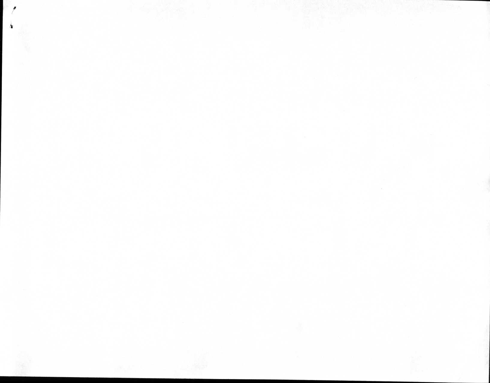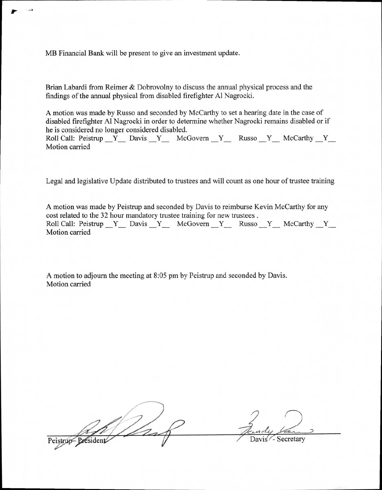MB Financial Bank will be present to give an investment update.

**IP'** 

Brian Labardi from Reimer & Dobrovolny to discuss the annual physical process and the findings of the annual physical from disabled firefighter Al Nagrocki.

A motion was made by Russo and seconded by McCarthy to set a hearing date in the case of disabled firefighter Al Nagrocki in order to determine whether Nagrocki remains disabled or if he is considered no longer considered disabled.

Roll Call: Peistrup Y Davis Y McGovern Y Russo Y McCarthy Y Motion carried

Legal and legislative Update distributed to trustees and will count as one hour of trustee training

A motion was made by Peistrup and seconded by Davis to reimburse Kevin McCarthy for any cost related to the 32 hour mandatory trustee training for new trustees . Roll Call: Peistrup  $Y_$  Davis Y McGovern Y Russo Y McCarthy Y Motion carried

A motion to adjourn the meeting at 8:05 pm by Peistrup and seconded by Davis. Motion carried

Peistrup - Président